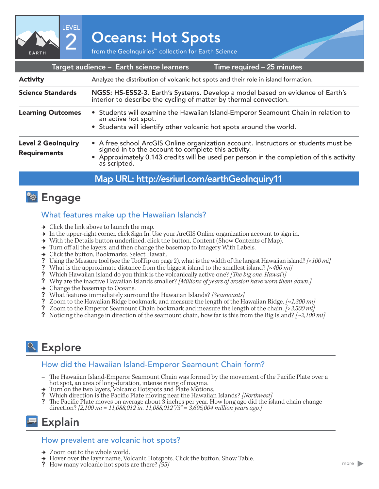2 Oceans: Hot Spots<br>
From the GeoInquiries™ collection for Earth Science

Time required – 25 minutes Target audience – Earth science learners Analyze the distribution of volcanic hot spots and their role in island formation. NGSS: HS-ESS2-3. Earth's Systems. Develop a model based on evidence of Earth's interior to describe the cycling of matter by thermal convection. • Students will examine the Hawaiian Island-Emperor Seamount Chain in relation to an active hot spot. • Students will identify other volcanic hot spots around the world. Science Standards Learning Outcomes Activity • A free school ArcGIS Online organization account. Instructors or students must be signed in to the account to complete this activity. • Approximately 0.143 credits will be used per person in the completion of this activity as scripted. Level 2 GeoInquiry Requirements

### Map URL: http://esriurl.com/earthGeoInquiry11

## <sup>2</sup><sup>9</sup> Engage

EARTH

LEVEL

#### What features make up the Hawaiian Islands?

- $\rightarrow$  Click the link above to launch the map.
- → In the upper-right corner, click Sign In. Use your ArcGIS Online organization account to sign in.
- → With the Details button underlined, click the button, Content (Show Contents of Map).
- → Turn off all the layers, and then change the basemap to Imagery With Labels.
- → Click the button, Bookmarks. Select Hawaii.
- ? Using the Measure tool (see the ToolTip on page 2), what is the width of the largest Hawaiian island? *[<100 mi]*
- ? What is the approximate distance from the biggest island to the smallest island? *[~400 mi]*
- ? Which Hawaiian island do you think is the volcanically active one? *[The big one, Hawai'i]*
- ? Why are the inactive Hawaiian Islands smaller? *[Millions of years of erosion have worn them down.]*
- $\rightarrow$  Change the basemap to Oceans.
- ? What features immediately surround the Hawaiian Islands? *[Seamounts]*
- ? Zoom to the Hawaiian Ridge bookmark, and measure the length of the Hawaiian Ridge. *[~1,300 mi]*
- ? Zoom to the Emperor Seamount Chain bookmark and measure the length of the chain. *[>3,500 mi]*
- ? Noticing the change in direction of the seamount chain, how far is this from the Big Island? *[~2,100 mi]*

# <sup>o</sup> Explore

#### How did the Hawaiian Island-Emperor Seamount Chain form?

- **–** The Hawaiian Island-Emperor Seamount Chain was formed by the movement of the Pacific Plate over a hot spot, an area of long-duration, intense rising of magma.
- 
- <sup>ʅ</sup> Turn on the two layers, Volcanic Hotspots and Plate Motions. ? Which direction is the Pacific Plate moving near the Hawaiian Islands? *[Northwest]*
- ? The Pacific Plate moves on average about  $\overline{3}$  inches per year. How long ago did the island chain change direction? *[2,100 mi = 11,088,012 in. 11,088,012"/3" = 3,696,004 million years ago.]*

## Explain

#### How prevalent are volcanic hot spots?

- → Zoom out to the whole world.
- <sup>ʅ</sup> Hover over the layer name, Volcanic Hotspots. Click the button, Show Table. ? How many volcanic hot spots are there? *[95]*
-